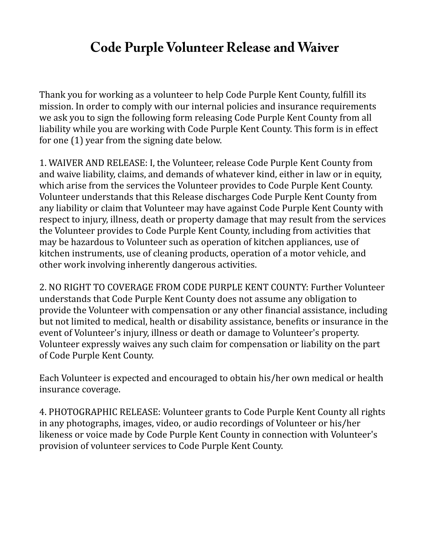## **Code Purple Volunteer Release and Waiver**

Thank you for working as a volunteer to help Code Purple Kent County, fulfill its mission. In order to comply with our internal policies and insurance requirements we ask you to sign the following form releasing Code Purple Kent County from all liability while you are working with Code Purple Kent County. This form is in effect for one (1) year from the signing date below.

1. WAIVER AND RELEASE: I, the Volunteer, release Code Purple Kent County from and waive liability, claims, and demands of whatever kind, either in law or in equity, which arise from the services the Volunteer provides to Code Purple Kent County. Volunteer understands that this Release discharges Code Purple Kent County from any liability or claim that Volunteer may have against Code Purple Kent County with respect to injury, illness, death or property damage that may result from the services the Volunteer provides to Code Purple Kent County, including from activities that may be hazardous to Volunteer such as operation of kitchen appliances, use of kitchen instruments, use of cleaning products, operation of a motor vehicle, and other work involving inherently dangerous activities.

2. NO RIGHT TO COVERAGE FROM CODE PURPLE KENT COUNTY: Further Volunteer understands that Code Purple Kent County does not assume any obligation to provide the Volunteer with compensation or any other financial assistance, including but not limited to medical, health or disability assistance, benefits or insurance in the event of Volunteer's injury, illness or death or damage to Volunteer's property. Volunteer expressly waives any such claim for compensation or liability on the part of Code Purple Kent County.

Each Volunteer is expected and encouraged to obtain his/her own medical or health insurance coverage.

4. PHOTOGRAPHIC RELEASE: Volunteer grants to Code Purple Kent County all rights in any photographs, images, video, or audio recordings of Volunteer or his/her likeness or voice made by Code Purple Kent County in connection with Volunteer's provision of volunteer services to Code Purple Kent County.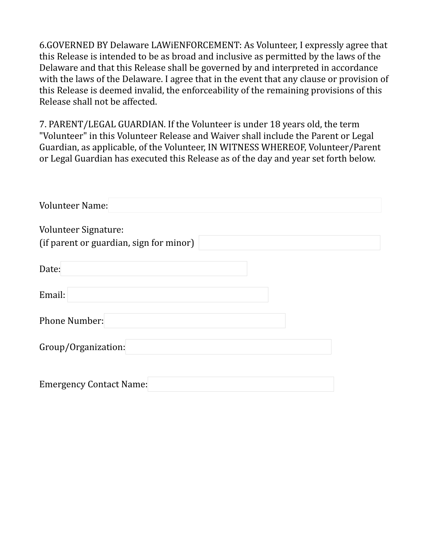6.GOVERNED BY Delaware LAWiENFORCEMENT: As Volunteer, I expressly agree that this Release is intended to be as broad and inclusive as permitted by the laws of the Delaware and that this Release shall be governed by and interpreted in accordance with the laws of the Delaware. I agree that in the event that any clause or provision of this Release is deemed invalid, the enforceability of the remaining provisions of this Release shall not be affected.

7. PARENT/LEGAL GUARDIAN. If the Volunteer is under 18 years old, the term "Volunteer" in this Volunteer Release and Waiver shall include the Parent or Legal Guardian, as applicable, of the Volunteer, IN WITNESS WHEREOF, Volunteer/Parent or Legal Guardian has executed this Release as of the day and year set forth below.

| <b>Volunteer Name:</b>                                          |  |
|-----------------------------------------------------------------|--|
| Volunteer Signature:<br>(if parent or guardian, sign for minor) |  |
| Date:                                                           |  |
| Email:                                                          |  |
| <b>Phone Number:</b>                                            |  |
| Group/Organization:                                             |  |
| <b>Emergency Contact Name:</b>                                  |  |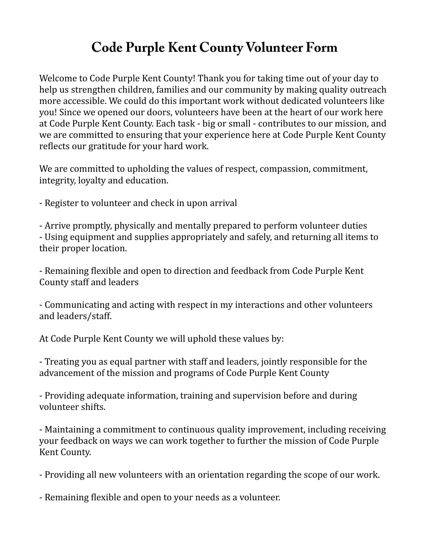## **Code Purple Kent County Volunteer Form**

Welcome to Code Purple Kent County! Thank you for taking time out of your day to help us strengthen children, families and our community by making quality outreach more accessible. We could do this important work without dedicated volunteers like you! Since we opened our doors, volunteers have been at the heart of our work here at Code Purple Kent County. Each task - big or small - contributes to our mission, and we are committed to ensuring that your experience here at Code Purple Kent County reflects our gratitude for your hard work.

We are committed to upholding the values of respect, compassion, commitment, integrity, loyalty and education.

- Register to volunteer and check in upon arrival

- Arrive promptly, physically and mentally prepared to perform volunteer duties - Using equipment and supplies appropriately and safely, and returning all items to their proper location.

- Remaining flexible and open to direction and feedback from Code Purple Kent County staff and leaders

- Communicating and acting with respect in my interactions and other volunteers and leaders/staff.

At Code Purple Kent County we will uphold these values by:

- Treating you as equal partner with staff and leaders, jointly responsible for the advancement of the mission and programs of Code Purple Kent County

- Providing adequate information, training and supervision before and during volunteer shifts.

- Maintaining a commitment to continuous quality improvement, including receiving your feedback on ways we can work together to further the mission of Code Purple Kent County.

- Providing all new volunteers with an orientation regarding the scope of our work.

- Remaining flexible and open to your needs as a volunteer.